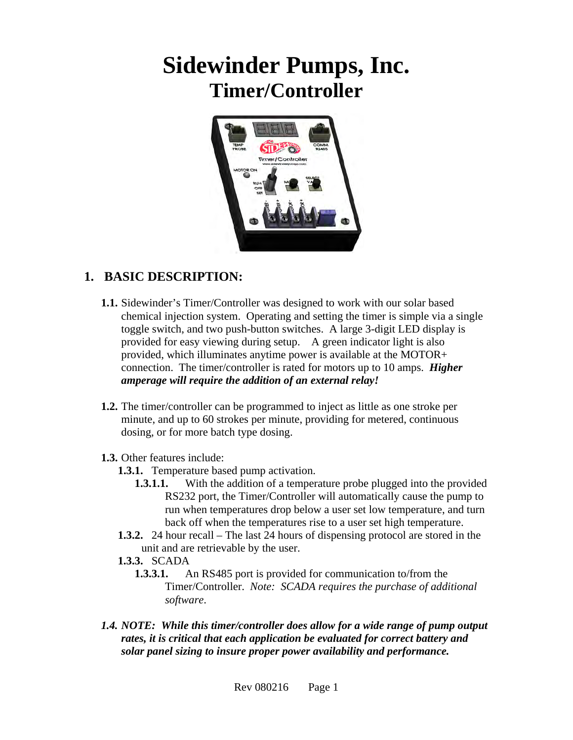# **Sidewinder Pumps, Inc. Timer/Controller**



#### **1. BASIC DESCRIPTION:**

- **1.1.** Sidewinder's Timer/Controller was designed to work with our solar based chemical injection system. Operating and setting the timer is simple via a single toggle switch, and two push-button switches. A large 3-digit LED display is provided for easy viewing during setup. A green indicator light is also provided, which illuminates anytime power is available at the MOTOR+ connection. The timer/controller is rated for motors up to 10 amps. *Higher amperage will require the addition of an external relay!*
- **1.2.** The timer/controller can be programmed to inject as little as one stroke per minute, and up to 60 strokes per minute, providing for metered, continuous dosing, or for more batch type dosing.
- **1.3.** Other features include:
	- **1.3.1.** Temperature based pump activation.
		- **1.3.1.1.** With the addition of a temperature probe plugged into the provided RS232 port, the Timer/Controller will automatically cause the pump to run when temperatures drop below a user set low temperature, and turn back off when the temperatures rise to a user set high temperature.
	- **1.3.2.** 24 hour recall The last 24 hours of dispensing protocol are stored in the unit and are retrievable by the user.
	- **1.3.3.** SCADA
		- **1.3.3.1.** An RS485 port is provided for communication to/from the Timer/Controller. *Note: SCADA requires the purchase of additional software*.
- *1.4. NOTE: While this timer/controller does allow for a wide range of pump output rates, it is critical that each application be evaluated for correct battery and solar panel sizing to insure proper power availability and performance.*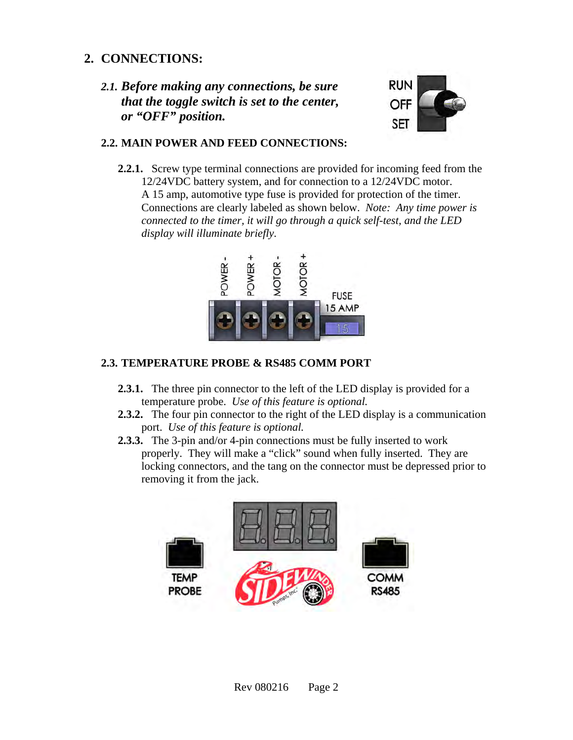#### **2. CONNECTIONS:**

*2.1. Before making any connections, be sure that the toggle switch is set to the center, or "OFF" position.* 



#### **2.2. MAIN POWER AND FEED CONNECTIONS:**

**2.2.1.** Screw type terminal connections are provided for incoming feed from the 12/24VDC battery system, and for connection to a 12/24VDC motor. A 15 amp, automotive type fuse is provided for protection of the timer. Connections are clearly labeled as shown below. *Note: Any time power is connected to the timer, it will go through a quick self-test, and the LED display will illuminate briefly.* 



#### **2.3. TEMPERATURE PROBE & RS485 COMM PORT**

- **2.3.1.** The three pin connector to the left of the LED display is provided for a temperature probe. *Use of this feature is optional.*
- **2.3.2.** The four pin connector to the right of the LED display is a communication port. *Use of this feature is optional.*
- **2.3.3.** The 3-pin and/or 4-pin connections must be fully inserted to work properly. They will make a "click" sound when fully inserted. They are locking connectors, and the tang on the connector must be depressed prior to removing it from the jack.

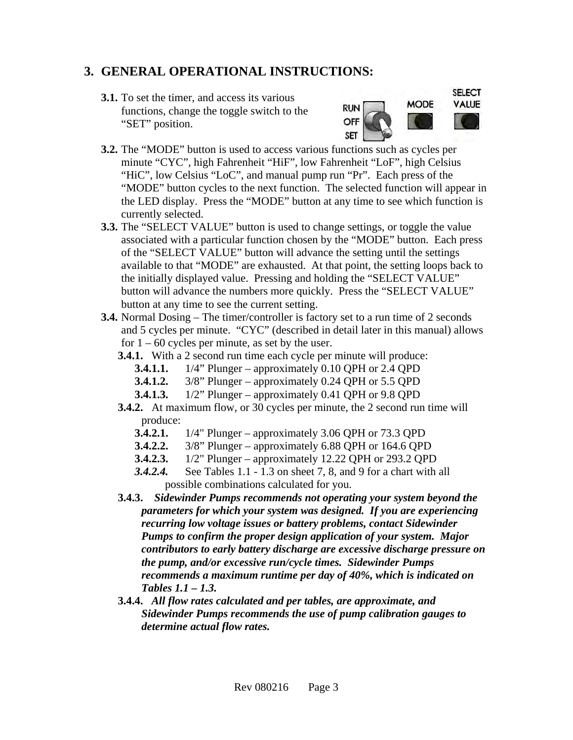#### **3. GENERAL OPERATIONAL INSTRUCTIONS:**

**3.1.** To set the timer, and access its various functions, change the toggle switch to the "SET" position.



- **3.2.** The "MODE" button is used to access various functions such as cycles per minute "CYC", high Fahrenheit "HiF", low Fahrenheit "LoF", high Celsius "HiC", low Celsius "LoC", and manual pump run "Pr". Each press of the "MODE" button cycles to the next function. The selected function will appear in the LED display. Press the "MODE" button at any time to see which function is currently selected.
- **3.3.** The "SELECT VALUE" button is used to change settings, or toggle the value associated with a particular function chosen by the "MODE" button. Each press of the "SELECT VALUE" button will advance the setting until the settings available to that "MODE" are exhausted. At that point, the setting loops back to the initially displayed value. Pressing and holding the "SELECT VALUE" button will advance the numbers more quickly. Press the "SELECT VALUE" button at any time to see the current setting.
- **3.4.** Normal Dosing The timer/controller is factory set to a run time of 2 seconds and 5 cycles per minute. "CYC" (described in detail later in this manual) allows for  $1 - 60$  cycles per minute, as set by the user.
	- **3.4.1.** With a 2 second run time each cycle per minute will produce:
		- **3.4.1.1.** 1/4" Plunger approximately 0.10 QPH or 2.4 QPD
		- **3.4.1.2.** 3/8" Plunger approximately 0.24 QPH or 5.5 QPD
		- **3.4.1.3.** 1/2" Plunger approximately 0.41 QPH or 9.8 QPD
	- **3.4.2.** At maximum flow, or 30 cycles per minute, the 2 second run time will produce:
		- **3.4.2.1.** 1/4" Plunger approximately 3.06 QPH or 73.3 QPD
		- **3.4.2.2.** 3/8" Plunger approximately 6.88 QPH or 164.6 QPD
		- **3.4.2.3.** 1/2" Plunger approximately 12.22 QPH or 293.2 QPD
		- *3.4.2.4.* See Tables 1.1 1.3 on sheet 7, 8, and 9 for a chart with all possible combinations calculated for you.
	- **3.4.3.** *Sidewinder Pumps recommends not operating your system beyond the parameters for which your system was designed. If you are experiencing recurring low voltage issues or battery problems, contact Sidewinder Pumps to confirm the proper design application of your system. Major contributors to early battery discharge are excessive discharge pressure on the pump, and/or excessive run/cycle times. Sidewinder Pumps recommends a maximum runtime per day of 40%, which is indicated on Tables 1.1 – 1.3.*
	- **3.4.4.** *All flow rates calculated and per tables, are approximate, and Sidewinder Pumps recommends the use of pump calibration gauges to determine actual flow rates.*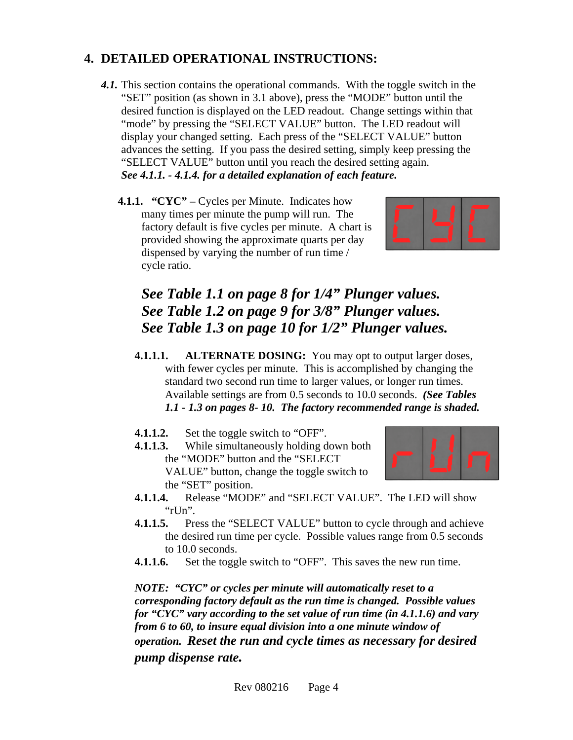## **4. DETAILED OPERATIONAL INSTRUCTIONS:**

- *4.1.* This section contains the operational commands. With the toggle switch in the "SET" position (as shown in 3.1 above), press the "MODE" button until the desired function is displayed on the LED readout. Change settings within that "mode" by pressing the "SELECT VALUE" button. The LED readout will display your changed setting. Each press of the "SELECT VALUE" button advances the setting. If you pass the desired setting, simply keep pressing the "SELECT VALUE" button until you reach the desired setting again. *See 4.1.1. - 4.1.4. for a detailed explanation of each feature.* 
	- **4.1.1. "CYC"** Cycles per Minute. Indicates how many times per minute the pump will run. The factory default is five cycles per minute. A chart is provided showing the approximate quarts per day dispensed by varying the number of run time / cycle ratio.



## *See Table 1.1 on page 8 for 1/4" Plunger values. See Table 1.2 on page 9 for 3/8" Plunger values. See Table 1.3 on page 10 for 1/2" Plunger values.*

- **4.1.1.1. ALTERNATE DOSING:** You may opt to output larger doses, with fewer cycles per minute. This is accomplished by changing the standard two second run time to larger values, or longer run times. Available settings are from 0.5 seconds to 10.0 seconds. *(See Tables 1.1 - 1.3 on pages 8- 10. The factory recommended range is shaded.*
- **4.1.1.2.** Set the toggle switch to "OFF".
- **4.1.1.3.** While simultaneously holding down both the "MODE" button and the "SELECT VALUE" button, change the toggle switch to the "SET" position.



- **4.1.1.4.** Release "MODE" and "SELECT VALUE". The LED will show " $r$ Un".
- **4.1.1.5.** Press the "SELECT VALUE" button to cycle through and achieve the desired run time per cycle. Possible values range from 0.5 seconds to 10.0 seconds.
- **4.1.1.6.** Set the toggle switch to "OFF". This saves the new run time.

*NOTE: "CYC" or cycles per minute will automatically reset to a corresponding factory default as the run time is changed. Possible values for "CYC" vary according to the set value of run time (in 4.1.1.6) and vary from 6 to 60, to insure equal division into a one minute window of operation. Reset the run and cycle times as necessary for desired pump dispense rate.*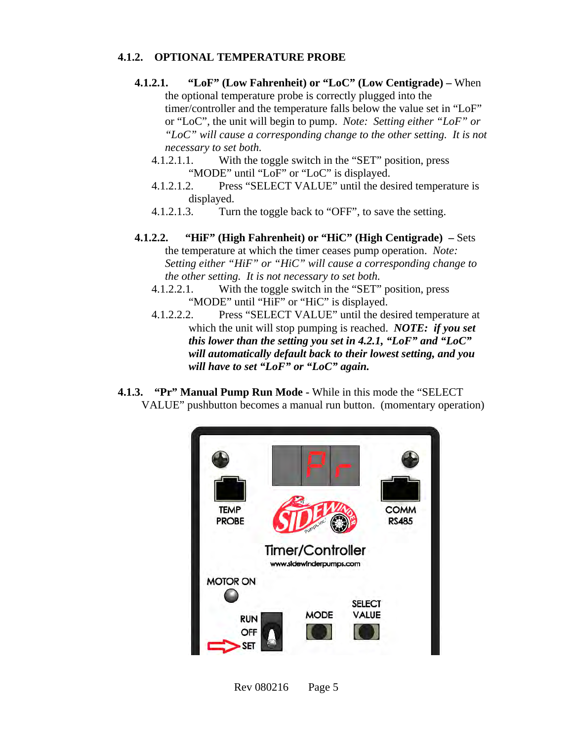#### **4.1.2. OPTIONAL TEMPERATURE PROBE**

- **4.1.2.1. "LoF" (Low Fahrenheit) or "LoC" (Low Centigrade)** When the optional temperature probe is correctly plugged into the timer/controller and the temperature falls below the value set in "LoF" or "LoC", the unit will begin to pump. *Note: Setting either "LoF" or "LoC" will cause a corresponding change to the other setting. It is not necessary to set both.*
	- 4.1.2.1.1. With the toggle switch in the "SET" position, press "MODE" until "LoF" or "LoC" is displayed.
	- 4.1.2.1.2. Press "SELECT VALUE" until the desired temperature is displayed.
	- 4.1.2.1.3. Turn the toggle back to "OFF", to save the setting.
- **4.1.2.2. "HiF" (High Fahrenheit) or "HiC" (High Centigrade) –** Sets the temperature at which the timer ceases pump operation. *Note: Setting either "HiF" or "HiC" will cause a corresponding change to the other setting. It is not necessary to set both.*
	- 4.1.2.2.1. With the toggle switch in the "SET" position, press "MODE" until "HiF" or "HiC" is displayed.
	- 4.1.2.2.2. Press "SELECT VALUE" until the desired temperature at which the unit will stop pumping is reached. *NOTE: if you set this lower than the setting you set in 4.2.1, "LoF" and "LoC" will automatically default back to their lowest setting, and you will have to set "LoF" or "LoC" again.*
- **4.1.3. "Pr" Manual Pump Run Mode** While in this mode the "SELECT VALUE" pushbutton becomes a manual run button. (momentary operation)



Rev 080216 Page 5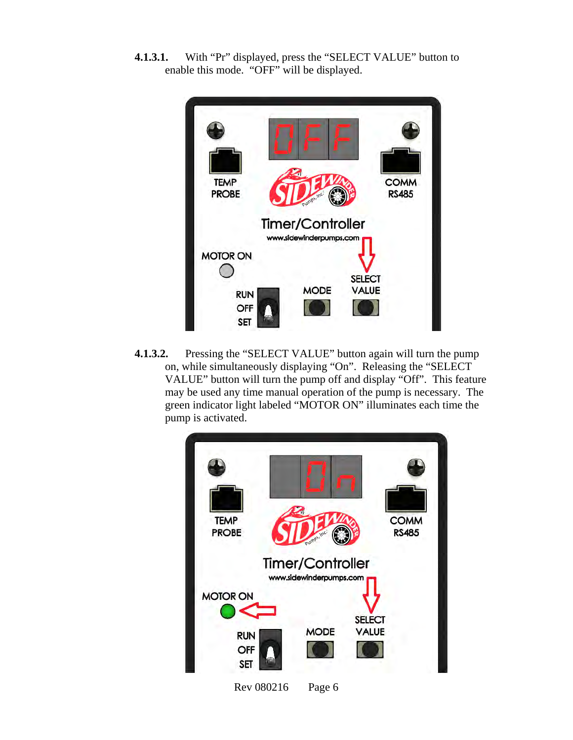**4.1.3.1.** With "Pr" displayed, press the "SELECT VALUE" button to enable this mode. "OFF" will be displayed.



**4.1.3.2.** Pressing the "SELECT VALUE" button again will turn the pump on, while simultaneously displaying "On". Releasing the "SELECT VALUE" button will turn the pump off and display "Off". This feature may be used any time manual operation of the pump is necessary. The green indicator light labeled "MOTOR ON" illuminates each time the pump is activated.

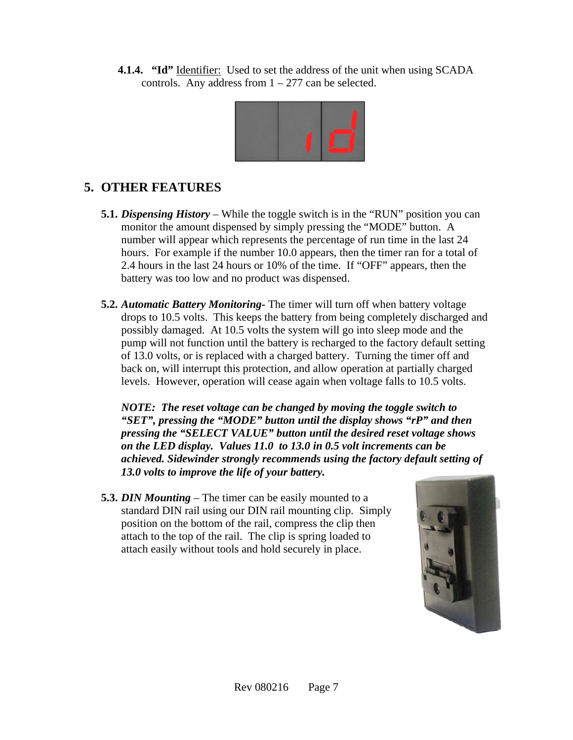**4.1.4. "Id"** Identifier: Used to set the address of the unit when using SCADA controls. Any address from  $1 - 277$  can be selected.



### **5. OTHER FEATURES**

- **5.1.** *Dispensing History* While the toggle switch is in the "RUN" position you can monitor the amount dispensed by simply pressing the "MODE" button. A number will appear which represents the percentage of run time in the last 24 hours. For example if the number 10.0 appears, then the timer ran for a total of 2.4 hours in the last 24 hours or 10% of the time. If "OFF" appears, then the battery was too low and no product was dispensed.
- **5.2.** *Automatic Battery Monitoring-* The timer will turn off when battery voltage drops to 10.5 volts. This keeps the battery from being completely discharged and possibly damaged. At 10.5 volts the system will go into sleep mode and the pump will not function until the battery is recharged to the factory default setting of 13.0 volts, or is replaced with a charged battery. Turning the timer off and back on, will interrupt this protection, and allow operation at partially charged levels. However, operation will cease again when voltage falls to 10.5 volts.

*NOTE: The reset voltage can be changed by moving the toggle switch to "SET", pressing the "MODE" button until the display shows "rP" and then pressing the "SELECT VALUE" button until the desired reset voltage shows on the LED display. Values 11.0 to 13.0 in 0.5 volt increments can be achieved. Sidewinder strongly recommends using the factory default setting of 13.0 volts to improve the life of your battery.*

**5.3.** *DIN Mounting* – The timer can be easily mounted to a standard DIN rail using our DIN rail mounting clip. Simply position on the bottom of the rail, compress the clip then attach to the top of the rail. The clip is spring loaded to attach easily without tools and hold securely in place.

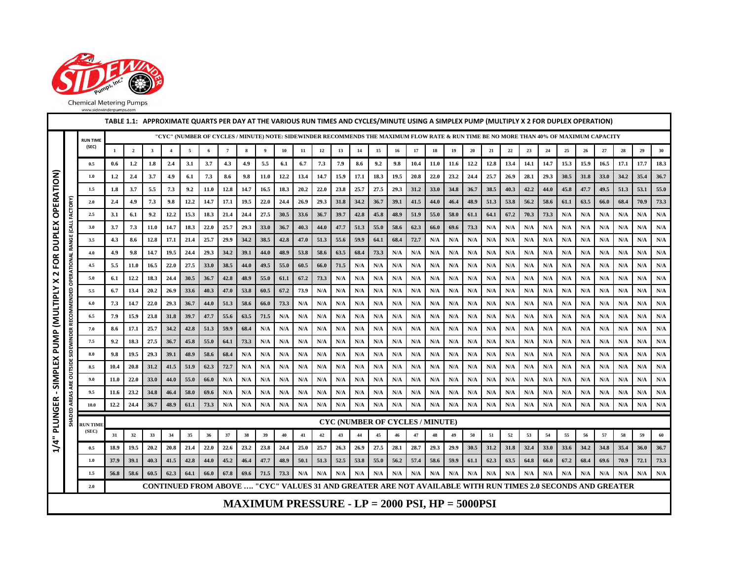

|  | <b>CHILGHIVICICIIII</b> YI UHIPS |  |  |  |  |
|--|----------------------------------|--|--|--|--|
|  | unuscidouindomumne com           |  |  |  |  |

|                          | TABLE 1.1: APPROXIMATE QUARTS PER DAY AT THE VARIOUS RUN TIMES AND CYCLES/MINUTE USING A SIMPLEX PUMP (MULTIPLY X 2 FOR DUPLEX OPERATION)<br>"CYC" (NUMBER OF CYCLES / MINUTE) NOTE: SIDEWINDER RECOMMENDS THE MAXIMUM FLOW RATE & RUN TIME BE NO MORE THAN 40% OF MAXIMUM CAPACITY |                          |                  |                         |              |                |              |              |                |              |            |            |            |            |                                              |            |            |            |            |            |                                                     |            |            |            |            |            |            |            |            |                                                                                                            |                         |                         |
|--------------------------|-------------------------------------------------------------------------------------------------------------------------------------------------------------------------------------------------------------------------------------------------------------------------------------|--------------------------|------------------|-------------------------|--------------|----------------|--------------|--------------|----------------|--------------|------------|------------|------------|------------|----------------------------------------------|------------|------------|------------|------------|------------|-----------------------------------------------------|------------|------------|------------|------------|------------|------------|------------|------------|------------------------------------------------------------------------------------------------------------|-------------------------|-------------------------|
|                          |                                                                                                                                                                                                                                                                                     | <b>RUN TIME</b>          |                  |                         |              |                |              |              |                |              |            |            |            |            |                                              |            |            |            |            |            |                                                     |            |            |            |            |            |            |            |            |                                                                                                            |                         |                         |
|                          |                                                                                                                                                                                                                                                                                     | (SEC)                    |                  | $\overline{\mathbf{2}}$ | $\mathbf{3}$ | $\overline{4}$ | 5            | 6            | $\overline{7}$ | 8            | 9          | 10         | 11         | 12         | 13                                           | 14         | 15         | 16         | 17         | 18         | 19                                                  | 20         | 21         | $22\,$     | 23         | 24         | 25         | 26         | $\bf 27$   | 28                                                                                                         | 29                      | 30                      |
|                          |                                                                                                                                                                                                                                                                                     | 0.5                      | $0.6\,$          | 1.2                     | 1.8          | 2.4            | 3.1          | 3.7          | 4.3            | 4.9          | 5.5        | 6.1        | 6.7        | 7.3        | 7.9                                          | 8.6        | 9.2        | 9.8        | 10.4       | 11.0       | 11.6                                                | 12.2       | 12.8       | 13.4       | 14.1       | 14.7       | 15.3       | 15.9       | 16.5       | 17.1                                                                                                       | 17.7                    | 18.3                    |
| FOR DUPLEX OPERATION)    |                                                                                                                                                                                                                                                                                     | 1.0                      | $1.2\phantom{0}$ | 2.4                     | 3.7          | 4.9            | 6.1          | 7.3          | 8.6            | 9.8          | 11.0       | 12.2       | 13.4       | 14.7       | 15.9                                         | 17.1       | 18.3       | 19.5       | 20.8       | 22.0       | 23.2                                                | 24.4       | 25.7       | 26.9       | 28.1       | 29.3       | 30.5       | 31.8       | 33.0       | 34.2                                                                                                       | 35.4                    | 36.7                    |
|                          |                                                                                                                                                                                                                                                                                     | $1.5\,$                  | 1.8              | 3.7                     | 5.5          | 7.3            | 9.2          | 11.0         | 12.8           | 14.7         | 16.5       | 18.3       | 20.2       | 22.0       | 23.8                                         | 25.7       | 27.5       | 29.3       | 31.2       | 33.0       | 34.8                                                | 36.7       | 38.5       | 40.3       | 42.2       | 44.0       | 45.8       | 47.7       | 49.5       | 51.3                                                                                                       | 53.1                    | 55.0                    |
|                          |                                                                                                                                                                                                                                                                                     | 2.0                      | 2.4              | 4.9                     | 7.3          | 9.8            | 12.2         | 14.7         | 17.1           | 19.5         | 22.0       | 24.4       | 26.9       | 29.3       | 31.8                                         | 34.2       | 36.7       | 39.1       | 41.5       | 44.0       | 46.4                                                | 48.9       | 51.3       | 53.8       | 56.2       | 58.6       | 61.1       | 63.5       | 66.0       | 68.4                                                                                                       | 70.9                    | 73.3                    |
|                          |                                                                                                                                                                                                                                                                                     | 2.5                      | 3.1              | 6.1                     | 9.2          | 12.2           | 15.3         | 18.3         | 21.4           | 24.4         | 27.5       | 30.5       | 33.6       | 36.7       | 39.7                                         | 42.8       | 45.8       | 48.9       | 51.9       | 55.0       | 58.0                                                | 61.1       | 64.1       | 67.2       | 70.3       | 73.3       | N/A        | N/A        | N/A        | N/A                                                                                                        | N/A                     | N/A                     |
|                          | E                                                                                                                                                                                                                                                                                   | 3.0                      | 3.7              | 7.3                     | 11.0         | 14.7           | 18.3         | 22.0         | 25.7           | 29.3         | 33.0       | 36.7       | 40.3       | 44.0       | 47.7                                         | 51.3       | 55.0       | 58.6       | 62.3       | 66.0       | 69.6                                                | 73.3       | N/A        | N/A        | N/A        | N/A        | N/A        | N/A        | N/A        | N/A                                                                                                        | N/A                     | N/A                     |
|                          | ö<br>Š                                                                                                                                                                                                                                                                              | 3.5                      | 4.3              | 8.6                     | 12.8         | 17.1           | 21.4         | 25.7         | 29.9           | 34.2         | 38.5       | 42.8       | 47.0       | 51.3       | 55.6                                         | 59.9       | 64.1       | 68.4       | 72.7       | N/A        | N/A                                                 | N/A        | N/A        | N/A        | N/A        | N/A        | N/A        | N/A        | N/A        | N/A                                                                                                        | N/A                     | N/A                     |
|                          |                                                                                                                                                                                                                                                                                     | 4.0                      | 4.9              | 9.8                     | 14.7         | 19.5           | 24.4         | 29.3         | 34.2           | 39.1         | 44.0       | 48.9       | 53.8       | 58.6       | 63.5                                         | 68.4       | 73.3       | N/A        | N/A        | N/A        | N/A                                                 | N/A        | N/A        | N/A        | N/A        | N/A        | N/A        | N/A        | N/A        | N/A                                                                                                        | N/A                     | N/A                     |
| $\mathbf{\mathsf{N}}$    |                                                                                                                                                                                                                                                                                     | 4.5                      | 5.5              | 11.0                    | 16.5         | 22.0           | 27.5         | 33.0         | 38.5           | 44.0         | 49.5       | 55.0       | 60.5       | 66.0       | 71.5                                         | N/A        | N/A        | N/A        | N/A        | N/A        | N/A                                                 | N/A        | N/A        | N/A        | N/A        | N/A        | N/A        | N/A        | N/A        | N/A                                                                                                        | N/A                     | N/A                     |
|                          | ै                                                                                                                                                                                                                                                                                   | 5.0                      | 6.1              | 12.2                    | 18.3         | 24.4           | 30.5         | 36.7         | 42.8           | 48.9         | 55.0       | 61.1       | 67.2       | 73.3       | N/A                                          | N/A        | N/A        | N/A        | N/A        | N/A        | N/A                                                 | N/A        | N/A        | N/A        | N/A        | N/A        | N/A        | N/A        | N/A        | N/A                                                                                                        | N/A                     | N/A                     |
| SIMPLEX PUMP (MULTIPLY X | MMENDED                                                                                                                                                                                                                                                                             | 5.5                      | 6.7              | 13.4                    | 20.2         | 26.9           | 33.6         | 40.3         | 47.0           | 53.8         | 60.5       | 67.2       | 73.9       | N/A        | N/A                                          | N/A        | N/A        | N/A        | N/A        | N/A        | N/A                                                 | N/A        | N/A        | N/A        | N/A        | N/A        | N/A        | N/A        | N/A        | N/A                                                                                                        | N/A                     | N/A                     |
|                          |                                                                                                                                                                                                                                                                                     | 6.0                      | 7.3              | 14.7                    | 22.0         | 29.3           | 36.7         | 44.0         | 51.3           | 58.6         | 66.0       | 73.3       | N/A        | N/A        | N/A                                          | N/A        | N/A        | N/A        | N/A        | N/A        | N/A                                                 | N/A        | N/A        | N/A        | N/A        | N/A        | N/A        | N/A        | N/A        | N/A                                                                                                        | N/A                     | N/A                     |
|                          | <b>RECO</b>                                                                                                                                                                                                                                                                         | 6.5                      | 7.9              | 15.9                    | 23.8         | 31.8           | 39.7         | 47.7         | 55.6           | 63.5         | 71.5       | N/A        | N/A        | N/A        | N/A                                          | N/A        | N/A        | N/A        | N/A        | N/A        | N/A                                                 | N/A        | N/A        | N/A        | N/A        | N/A        | N/A        | N/A        | N/A        | N/A                                                                                                        | N/A                     | N/A                     |
|                          |                                                                                                                                                                                                                                                                                     | 7.0<br>7.5               | 8.6<br>9.2       | 17.1<br>18.3            | 25.7<br>27.5 | 34.2<br>36.7   | 42.8<br>45.8 | 51.3<br>55.0 | 59.9<br>64.1   | 68.4<br>73.3 | N/A<br>N/A | N/A<br>N/A | N/A<br>N/A | N/A<br>N/A | N/A<br>N/A                                   | N/A<br>N/A | N/A<br>N/A | N/A<br>N/A | N/A<br>N/A | N/A<br>N/A | N/A<br>N/A                                          | N/A<br>N/A | N/A<br>N/A | N/A<br>N/A | N/A<br>N/A | N/A<br>N/A | N/A<br>N/A | N/A<br>N/A | N/A<br>N/A | N/A<br>N/A                                                                                                 | N/A<br>N/A              | N/A<br>N/A              |
|                          | SIDEWINDER                                                                                                                                                                                                                                                                          | 8.0                      | 9.8              | 19.5                    | 29.3         | 39.1           | 48.9         | 58.6         | 68.4           | N/A          | N/A        | N/A        | N/A        | N/A        | N/A                                          | N/A        | N/A        | N/A        | N/A        | N/A        | N/A                                                 | N/A        | N/A        | N/A        | N/A        | N/A        | N/A        | N/A        | N/A        | N/A                                                                                                        | N/A                     | N/A                     |
|                          |                                                                                                                                                                                                                                                                                     | 8.5                      | 10.4             | 20.8                    | 31.2         | 41.5           | 51.9         | 62.3         | 72.7           | N/A          | N/A        | N/A        | N/A        | N/A        | N/A                                          | N/A        | N/A        | N/A        | N/A        | N/A        | N/A                                                 | N/A        | N/A        | N/A        | N/A        | N/A        | N/A        | N/A        | N/A        | N/A                                                                                                        | N/A                     | N/A                     |
|                          | OUTSIDE                                                                                                                                                                                                                                                                             | 9.0                      | 11.0             | 22.0                    | 33.0         | 44.0           | 55.0         | 66.0         | N/A            | N/A          | N/A        | N/A        | N/A        | N/A        | N/A                                          | N/A        | N/A        | N/A        | N/A        | N/A        | N/A                                                 | N/A        | N/A        | N/A        | N/A        | N/A        | N/A        | N/A        | N/A        | $\mathbf{N}/\mathbf{A}$                                                                                    | N/A                     | N/A                     |
| $\blacksquare$           | ARE                                                                                                                                                                                                                                                                                 | 9.5                      | 11.6             | 23.2                    | 34.8         | 46.4           | 58.0         | 69.6         | N/A            | N/A          | N/A        | N/A        | N/A        | N/A        | N/A                                          | N/A        | N/A        | N/A        | N/A        | N/A        | N/A                                                 | N/A        | N/A        | N/A        | N/A        | N/A        | N/A        | N/A        | N/A        | N/A                                                                                                        | N/A                     | N/A                     |
|                          | AREAS                                                                                                                                                                                                                                                                               | 10.0                     | 12.2             | 24.4                    | 36.7         | 48.9           | 61.1         | 73.3         | N/A            | N/A          | N/A        | N/A        | N/A        | N/A        | N/A                                          | N/A        | N/A        | N/A        | N/A        | N/A        | N/A                                                 | N/A        | N/A        | N/A        | N/A        | N/A        | N/A        | N/A        | N/A        | N/A                                                                                                        | $\mathbf{N}/\mathbf{A}$ | $\mathbf{N}/\mathbf{A}$ |
| PLUNGER                  | SHADED                                                                                                                                                                                                                                                                              |                          |                  |                         |              |                |              |              |                |              |            |            |            |            |                                              |            |            |            |            |            |                                                     |            |            |            |            |            |            |            |            |                                                                                                            |                         |                         |
|                          |                                                                                                                                                                                                                                                                                     | <b>RUN TIME</b><br>(SEC) | 31               | 32                      | 33           | 34             | 35           | 36           | 37             | 38           | 39         | 40         | 41         | 42         | <b>CYC (NUMBER OF CYCLES / MINUTE)</b><br>43 | 44         | 45         | 46         | $\bf 47$   | 48         | 49                                                  | 50         | 51         | $52\,$     | 53         | 54         | 55         | 56         | 57         | 58                                                                                                         | 59                      | 60                      |
| 1/4"                     |                                                                                                                                                                                                                                                                                     | 0.5                      | 18.9             | 19.5                    | 20.2         | 20.8           | 21.4         | 22.0         | 22.6           | 23.2         | 23.8       | 24.4       | 25.0       | 25.7       | 26.3                                         | 26.9       | 27.5       | 28.1       | 28.7       | 29.3       | 29.9                                                | 30.5       | 31.2       | 31.8       | 32.4       | 33.0       | 33.6       | 34.2       | 34.8       | 35.4                                                                                                       | 36.0                    | 36.7                    |
|                          |                                                                                                                                                                                                                                                                                     | 1.0                      | 37.9             | 39.1                    | 40.3         | 41.5           | 42.8         | 44.0         | 45.2           | 46.4         | 47.7       | 48.9       | 50.1       | 51.3       | 52.5                                         | 53.8       | 55.0       | 56.2       | 57.4       | 58.6       | 59.9                                                | 61.1       | 62.3       | 63.5       | 64.8       | 66.0       | 67.2       | 68.4       | 69.6       | 70.9                                                                                                       | 72.1                    | 73.3                    |
|                          |                                                                                                                                                                                                                                                                                     | 1.5                      | 56.8             | 58.6                    | 60.5         | 62.3           | 64.1         | 66.0         | 67.8           | 69.6         | 71.5       | 73.3       | N/A        | N/A        | N/A                                          | N/A        | N/A        | N/A        | N/A        | N/A        | N/A                                                 | N/A        | N/A        | N/A        | N/A        | N/A        | N/A        | N/A        | N/A        | N/A                                                                                                        | N/A                     | N/A                     |
|                          |                                                                                                                                                                                                                                                                                     | 2.0                      |                  |                         |              |                |              |              |                |              |            |            |            |            |                                              |            |            |            |            |            |                                                     |            |            |            |            |            |            |            |            | CONTINUED FROM ABOVE  "CYC" VALUES 31 AND GREATER ARE NOT AVAILABLE WITH RUN TIMES 2.0 SECONDS AND GREATER |                         |                         |
|                          |                                                                                                                                                                                                                                                                                     |                          |                  |                         |              |                |              |              |                |              |            |            |            |            |                                              |            |            |            |            |            |                                                     |            |            |            |            |            |            |            |            |                                                                                                            |                         |                         |
|                          |                                                                                                                                                                                                                                                                                     |                          |                  |                         |              |                |              |              |                |              |            |            |            |            |                                              |            |            |            |            |            | MAXIMUM PRESSURE - $LP = 2000$ PSI, $HP = 5000$ PSI |            |            |            |            |            |            |            |            |                                                                                                            |                         |                         |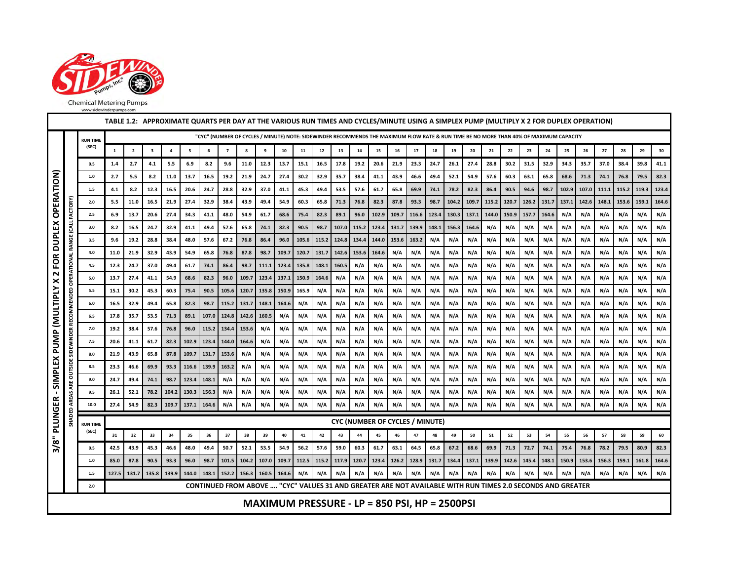

|                                                                                                                                                                                                            |          |                          |              |                         |                         |                |                |                |                |            |            |            |            |            |            |            | TABLE 1.2: APPROXIMATE QUARTS PER DAY AT THE VARIOUS RUN TIMES AND CYCLES/MINUTE USING A SIMPLEX PUMP (MULTIPLY X 2 FOR DUPLEX OPERATION) |            |            |            |            |            |            |            |            |            |            |            |       |       |       |       |
|------------------------------------------------------------------------------------------------------------------------------------------------------------------------------------------------------------|----------|--------------------------|--------------|-------------------------|-------------------------|----------------|----------------|----------------|----------------|------------|------------|------------|------------|------------|------------|------------|-------------------------------------------------------------------------------------------------------------------------------------------|------------|------------|------------|------------|------------|------------|------------|------------|------------|------------|------------|-------|-------|-------|-------|
|                                                                                                                                                                                                            |          | <b>RUN TIME</b>          |              |                         |                         |                |                |                |                |            |            |            |            |            |            |            | "CYC" (NUMBER OF CYCLES / MINUTE) NOTE: SIDEWINDER RECOMMENDS THE MAXIMUM FLOW RATE & RUN TIME BE NO MORE THAN 40% OF MAXIMUM CAPACITY    |            |            |            |            |            |            |            |            |            |            |            |       |       |       |       |
|                                                                                                                                                                                                            |          | (SEC)                    | 1            | $\overline{\mathbf{2}}$ | $\overline{\mathbf{3}}$ | $\overline{a}$ | 5              | 6              | $\overline{7}$ | 8          | 9          | 10         | 11         | 12         | 13         | 14         | 15                                                                                                                                        | 16         | 17         | 18         | 19         | 20         | 21         | 22         | 23         | 24         | 25         | 26         | 27    | 28    | 29    | 30    |
|                                                                                                                                                                                                            |          | 0.5                      | 1.4          | 2.7                     | 4.1                     | 5.5            | 6.9            | 8.2            | 9.6            | 11.0       | 12.3       | 13.7       | 15.1       | 16.5       | 17.8       | 19.2       | 20.6                                                                                                                                      | 21.9       | 23.3       | 24.7       | 26.1       | 27.4       | 28.8       | 30.2       | 31.5       | 32.9       | 34.3       | 35.7       | 37.0  | 38.4  | 39.8  | 41.1  |
|                                                                                                                                                                                                            |          | $1.0\,$                  | 2.7          | 5.5                     | 8.2                     | 11.0           | 13.7           | 16.5           | 19.2           | 21.9       | 24.7       | 27.4       | 30.2       | 32.9       | 35.7       | 38.4       | 41.1                                                                                                                                      | 43.9       | 46.6       | 49.4       | 52.1       | 54.9       | 57.6       | 60.3       | 63.1       | 65.8       | 68.6       | 71.3       | 74.1  | 76.8  | 79.5  | 82.3  |
|                                                                                                                                                                                                            |          | 1.5                      | 4.1          | 8.2                     | 12.3                    | 16.5           | 20.6           | 24.7           | 28.8           | 32.9       | 37.0       | 41.1       | 45.3       | 49.4       | 53.5       | 57.6       | 61.7                                                                                                                                      | 65.8       | 69.9       | 74.1       | 78.2       | 82.3       | 86.4       | 90.5       | 94.6       | 98.7       | 102.9      | 107.0      | 111.1 | 115.2 | 119.3 | 123.4 |
| <b>OPERATION)</b>                                                                                                                                                                                          |          | 2.0                      | 5.5          | 11.0                    | 16.5                    | 21.9           | 27.4           | 32.9           | 38.4           | 43.9       | 49.4       | 54.9       | 60.3       | 65.8       | 71.3       | 76.8       | 82.3                                                                                                                                      | 87.8       | 93.3       | 98.7       | 104.2      | 109.7      | 115.2      | 120.7      | 126.2      | 131.7      | 137.1      | 142.6      | 148.1 | 153.6 | 159.1 | 164.6 |
|                                                                                                                                                                                                            |          | 2.5                      | 6.9          | 13.7                    | 20.6                    | 27.4           | 34.3           | 41.1           | 48.0           | 54.9       | 61.7       | 68.6       | 75.4       | 82.3       | 89.1       | 96.0       | 102.9                                                                                                                                     | 109.7      | 116.6      | 123.4      | 130.3      | 137.1      | 144.0      | 150.9      | 157.7      | 164.6      | N/A        | N/A        | N/A   | N/A   | N/A   | N/A   |
|                                                                                                                                                                                                            | CALL     | 3.0                      | 8.2          | 16.5                    | 24.7                    | 32.9           | 41.1           | 49.4           | 57.6           | 65.8       | 74.1       | 82.3       | 90.5       | 98.7       | 107.0      | 115.2      | 123.4                                                                                                                                     | 131.7      | 139.9      | 148.1      | 156.3      | 164.6      | N/A        | N/A        | N/A        | N/A        | N/A        | N/A        | N/A   | N/A   | N/A   | N/A   |
| <b>DUPLEX</b>                                                                                                                                                                                              | ö<br>Š   | 3.5                      | 9.6          | 19.2                    | 28.8                    | 38.4           | 48.0           | 57.6           | 67.2           | 76.8       | 86.4       | 96.0       | 105.6      | 115.2      | 124.8      | 134.4      | 144.0                                                                                                                                     | 153.6      | 163.2      | N/A        | N/A        | N/A        | N/A        | N/A        | N/A        | N/A        | N/A        | N/A        | N/A   | N/A   | N/A   | N/A   |
| FOR                                                                                                                                                                                                        |          | 4.0                      | 11.0         | 21.9                    | 32.9                    | 43.9           | 54.9           | 65.8           | 76.8           | 87.8       | 98.7       | 109.7      | 120.7      | 131.7      | 142.6      | 153.6      | 164.6                                                                                                                                     | N/A        | N/A        | N/A        | N/A        | N/A        | N/A        | N/A        | N/A        | N/A        | N/A        | N/A        | N/A   | N/A   | N/A   | N/A   |
| $\sim$                                                                                                                                                                                                     | 읃        | 4.5                      | 12.3         | 24.7                    | 37.0                    | 49.4           | 61.7           | 74.1           | 86.4           | 98.7       | 111.1      | 123.4      | 135.8      | 148.1      | 160.5      | N/A        | N/A                                                                                                                                       | N/A        | N/A        | N/A        | N/A        | N/A        | N/A        | N/A        | N/A        | N/A        | N/A        | N/A        | N/A   | N/A   | N/A   | N/A   |
| ×                                                                                                                                                                                                          | ô        | 5.0                      | 13.7         | 27.4                    | 41.1                    | 54.9           | 68.6           | 82.3           | 96.0           | 109.7      | 123.4      | 137.1      | 150.9      | 164.6      | N/A        | N/A        | N/A                                                                                                                                       | N/A        | N/A        | N/A        | N/A        | N/A        | N/A        | N/A        | N/A        | N/A        | N/A        | N/A        | N/A   | N/A   | N/A   | N/A   |
|                                                                                                                                                                                                            | <b>B</b> | 5.5                      | 15.1         | 30.2                    | 45.3                    | 60.3           | 75.4           | 90.5           | 105.6          | 120.7      | 135.8      | 150.9      | 165.9      | N/A        | N/A        | N/A        | N/A                                                                                                                                       | N/A        | N/A        | N/A        | N/A        | N/A        | N/A        | N/A        | N/A        | N/A        | N/A        | N/A        | N/A   | N/A   | N/A   | N/A   |
| <b>MULTIPLY</b>                                                                                                                                                                                            |          | $6.0\,$                  | 16.5         | 32.9                    | 49.4                    | 65.8           | 82.3           | 98.7           | 115.2          | 131.7      | 148.1      | 164.6      | N/A        | N/A        | N/A        | N/A        | N/A                                                                                                                                       | N/A        | N/A        | N/A        | N/A        | N/A        | N/A        | N/A        | N/A        | N/A        | N/A        | N/A        | N/A   | N/A   | N/A   | N/A   |
|                                                                                                                                                                                                            |          | 6.5                      | 17.8         | 35.7                    | 53.5                    | 71.3           | 89.1           | 107.0          | 124.8          | 142.6      | 160.5      | N/A        | N/A        | N/A        | N/A        | N/A        | N/A                                                                                                                                       | N/A        | N/A        | N/A        | N/A        | N/A        | N/A        | N/A        | N/A        | N/A        | N/A        | N/A        | N/A   | N/A   | N/A   | N/A   |
|                                                                                                                                                                                                            |          | 7.0                      | 19.2         | 38.4                    | 57.6                    | 76.8           | 96.0           | 115.2          | 134.4          | 153.6      | N/A        | N/A        | N/A        | N/A        | N/A        | N/A        | N/A                                                                                                                                       | N/A        | N/A        | N/A        | N/A        | N/A        | N/A        | N/A        | N/A        | N/A        | N/A        | N/A        | N/A   | N/A   | N/A   | N/A   |
| PUMP                                                                                                                                                                                                       |          | 7.5                      | 20.6         | 41.1                    | 61.7                    | 82.3           | 102.9          | 123.4          | 144.0          | 164.6      | N/A        | N/A        | N/A        | N/A        | N/A        | N/A        | N/A                                                                                                                                       | N/A        | N/A        | N/A        | N/A        | N/A        | N/A        | N/A        | N/A        | N/A        | N/A        | N/A        | N/A   | N/A   | N/A   | N/A   |
|                                                                                                                                                                                                            | <b>S</b> | 8.0                      | 21.9         | 43.9                    | 65.8                    | 87.8           | 109.7          | 131.7          | 153.6          | N/A        | N/A        | N/A        | N/A        | N/A        | N/A        | N/A        | N/A                                                                                                                                       | N/A        | N/A        | N/A        | N/A        | N/A        | N/A        | N/A        | N/A        | N/A        | N/A        | N/A        | N/A   | N/A   | N/A   | N/A   |
|                                                                                                                                                                                                            | 3        | 8.5                      | 23.3         | 46.6                    | 69.9                    | 93.3           | 116.6          | 139.9          | 163.2          | N/A        | N/A        | N/A        | N/A        | N/A        | N/A        | N/A        | N/A                                                                                                                                       | N/A        | N/A        | N/A        | N/A        | N/A        | N/A        | N/A        | N/A        | N/A        | N/A        | N/A<br>N/A | N/A   | N/A   | N/A   | N/A   |
| SIMPLEX<br>N/A<br>9.0<br>74.1<br>98.7<br>148.1<br>N/A<br>N/A<br>N/A<br>N/A<br>N/A<br>N/A<br>N/A<br>N/A<br>N/A<br>N/A<br>N/A<br>N/A<br>N/A<br>N/A<br>24.7<br>49.4<br>123.4<br>N/A<br>N/A<br>N/A<br>N/A<br>₹ |          |                          |              |                         |                         |                |                |                |                |            |            |            |            |            | N/A        | N/A<br>N/A | N/A<br>N/A                                                                                                                                | N/A<br>N/A | N/A<br>N/A |            |            |            |            |            |            |            |            |            |       |       |       |       |
| - 1                                                                                                                                                                                                        | ă        | 9.5<br>10.0              | 26.1<br>27.4 | 52.1<br>54.9            | 78.2<br>82.3            | 104.2<br>109.7 | 130.3<br>137.1 | 156.3<br>164.6 | N/A<br>N/A     | N/A<br>N/A | N/A<br>N/A | N/A<br>N/A | N/A<br>N/A | N/A<br>N/A | N/A<br>N/A | N/A<br>N/A | N/A<br>N/A                                                                                                                                | N/A<br>N/A | N/A<br>N/A | N/A<br>N/A | N/A<br>N/A | N/A<br>N/A | N/A<br>N/A | N/A<br>N/A | N/A<br>N/A | N/A<br>N/A | N/A<br>N/A | N/A        | N/A   | N/A   | N/A   | N/A   |
| PLUNGER                                                                                                                                                                                                    |          |                          |              |                         |                         |                |                |                |                |            |            |            |            |            |            |            |                                                                                                                                           |            |            |            |            |            |            |            |            |            |            |            |       |       |       |       |
|                                                                                                                                                                                                            |          | <b>RUN TIME</b><br>(SEC) |              |                         |                         |                |                |                |                |            |            |            |            |            |            |            | <b>CYC (NUMBER OF CYCLES / MINUTE)</b>                                                                                                    |            |            |            |            |            |            |            |            |            |            |            |       |       |       |       |
| $\bar{5}$                                                                                                                                                                                                  |          |                          | 31           | 32                      | 33                      | 34             | 35             | 36             | 37             | 38         | 39         | 40         | 41         | 42         | 43         | 44         | 45                                                                                                                                        | 46         | 47         | 48         | 49         | 50         | 51         | 52         | 53         | 54         | 55         | 56         | 57    | 58    | 59    | 60    |
| స్                                                                                                                                                                                                         |          | 0.5                      | 42.5         | 43.9                    | 45.3                    | 46.6           | 48.0           | 49.4           | 50.7           | 52.1       | 53.5       | 54.9       | 56.2       | 57.6       | 59.0       | 60.3       | 61.7                                                                                                                                      | 63.1       | 64.5       | 65.8       | 67.2       | 68.6       | 69.9       | 71.3       | 72.7       | 74.1       | 75.4       | 76.8       | 78.2  | 79.5  | 80.9  | 82.3  |
|                                                                                                                                                                                                            |          | $1.0\,$                  | 85.0         | 87.8                    | 90.5                    | 93.3           | 96.0           | 98.7           | 101.5          | 104.2      | 107.0      | 109.7      | 112.5      | 115.2      | 117.9      | 120.7      | 123.4                                                                                                                                     | 126.2      | 128.9      | 131.7      | 134.4      | 137.1      | 139.9      | 142.6      | 145.4      | 148.1      | 150.9      | 153.6      | 156.3 | 159.1 | 161.8 | 164.6 |
|                                                                                                                                                                                                            |          | $1.5$<br>$2.0\,$         | 127.5        | 131.7                   | 135.8                   | 139.9          | 144.0          | 148.1          | 152.2          | 156.3      | 160.5      | 164.6      | N/A        | N/A        | N/A        | N/A        | N/A<br>CONTINUED FROM ABOVE  "CYC" VALUES 31 AND GREATER ARE NOT AVAILABLE WITH RUN TIMES 2.0 SECONDS AND GREATER                         | N/A        | N/A        | N/A        | N/A        | N/A        | N/A        | N/A        | N/A        | N/A        | N/A        | N/A        | N/A   | N/A   | N/A   | N/A   |
|                                                                                                                                                                                                            |          |                          |              |                         |                         |                |                |                |                |            |            |            |            |            |            |            |                                                                                                                                           |            |            |            |            |            |            |            |            |            |            |            |       |       |       |       |
|                                                                                                                                                                                                            |          |                          |              |                         |                         |                |                |                |                |            |            |            |            |            |            |            | MAXIMUM PRESSURE - LP = 850 PSI, HP = 2500PSI                                                                                             |            |            |            |            |            |            |            |            |            |            |            |       |       |       |       |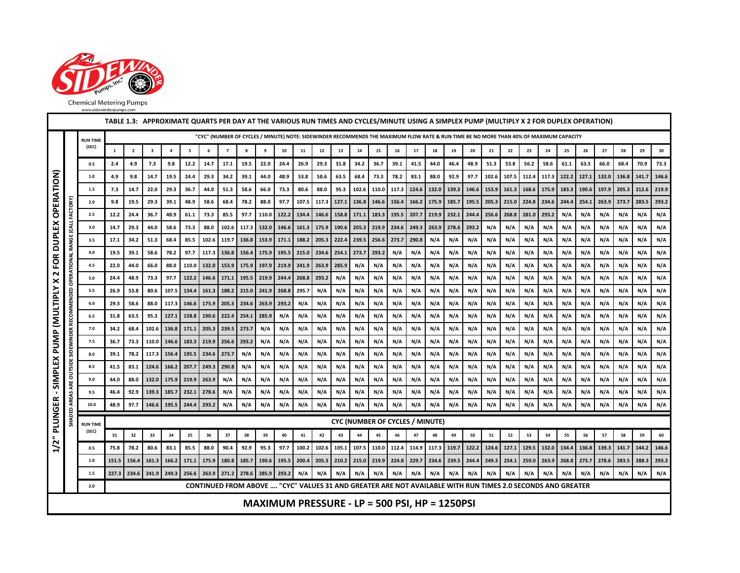

| TABLE 1.3: APPROXIMATE QUARTS PER DAY AT THE VARIOUS RUN TIMES AND CYCLES/MINUTE USING A SIMPLEX PUMP (MULTIPLY X 2 FOR DUPLEX OPERATION)<br>"CYC" (NUMBER OF CYCLES / MINUTE) NOTE: SIDEWINDER RECOMMENDS THE MAXIMUM FLOW RATE & RUN TIME BE NO MORE THAN 40% OF MAXIMUM CAPACITY |              |                          |              |                         |                         |                |                |                |                |                   |              |            |             |            |            |            |                         |             |                                        |            |                                                                                                            |                   |            |            |            |                   |            |            |            |                   |            |            |
|-------------------------------------------------------------------------------------------------------------------------------------------------------------------------------------------------------------------------------------------------------------------------------------|--------------|--------------------------|--------------|-------------------------|-------------------------|----------------|----------------|----------------|----------------|-------------------|--------------|------------|-------------|------------|------------|------------|-------------------------|-------------|----------------------------------------|------------|------------------------------------------------------------------------------------------------------------|-------------------|------------|------------|------------|-------------------|------------|------------|------------|-------------------|------------|------------|
|                                                                                                                                                                                                                                                                                     |              | <b>RUN TIME</b>          |              |                         |                         |                |                |                |                |                   |              |            |             |            |            |            |                         |             |                                        |            |                                                                                                            |                   |            |            |            |                   |            |            |            |                   |            |            |
|                                                                                                                                                                                                                                                                                     |              | (SEC)                    | $\mathbf 1$  | $\overline{\mathbf{2}}$ | $\overline{\mathbf{3}}$ | $\pmb{4}$      | 5              | 6              | $\overline{7}$ | 8                 | 9            | ${\bf 10}$ | 11          | $12\,$     | 13         | ${\bf 14}$ | 15                      | 16          | 17                                     | 18         | 19                                                                                                         | 20                | 21         | 22         | 23         | 24                | 25         | 26         | 27         | 28                | 29         | 30         |
|                                                                                                                                                                                                                                                                                     |              | 0.5                      | 2.4          | 4.9                     | 7.3                     | 9.8            | 12.2           | 14.7           | 17.1           | 19.5              | 22.0         | 24.4       | 26.9        | 29.3       | 31.8       | 34.2       | 36.7                    | 39.1        | 41.5                                   | 44.0       | 46.4                                                                                                       | 48.9              | 51.3       | 53.8       | 56.2       | 58.6              | 61.1       | 63.5       | 66.0       | 68.4              | 70.9       | 73.3       |
| FOR DUPLEX OPERATION)                                                                                                                                                                                                                                                               |              | $1.0\,$                  | 4.9          | 9.8                     | 14.7                    | 19.5           | 24.4           | 29.3           | 34.2           | 39.1              | 44.0         | 48.9       | 53.8        | 58.6       | 63.5       | 68.4       | 73.3                    | 78.2        | 83.1                                   | 88.0       | 92.9                                                                                                       | 97.7              | 102.6      | 107.5      | 112.4      | 117.3 122.2       |            | 127.1      |            | 132.0 136.8 141.7 |            | 146.6      |
|                                                                                                                                                                                                                                                                                     |              | $1.5\,$                  | 7.3          | 14.7                    | 22.0                    | 29.3           | 36.7           | 44.0           | 51.3           | 58.6              | 66.0         | 73.3       | 80.6        | 88.0       | 95.3       | 102.6      | 110.0                   | 117.3       | 124.6                                  | 132.0      | 139.3                                                                                                      | 146.6             | 153.9      | 161.3      | 168.6      | 175.9             | 183.3      | 190.6      | 197.9      | 205.3 212.6       |            | 219.9      |
|                                                                                                                                                                                                                                                                                     | FACTORY      | 2.0                      | 9.8          | 19.5                    | 29.3                    | 39.1           | 48.9           | 58.6           | 68.4           | 78.2              | 88.0         | 97.7       | 107.5       | 117.3      | 127.1      | 136.8      | 146.6                   | 156.4       | 166.2                                  | 175.9      | 185.7                                                                                                      | 195.5             | 205.3      | 215.0      | 224.8      | 234.6             | 244.4      | 254.1      | 263.9      | 273.7             | 283.5      | 293.2      |
|                                                                                                                                                                                                                                                                                     |              | $2.5\,$                  | 12.2         | 24.4                    | 36.7                    | 48.9           | 61.1           | 73.3           | 85.5           | 97.7              | 110.0        | 122.2      | 134.4       | 146.6      | 158.8      | 171.1      | 183.3                   | 195.5 207.7 |                                        |            | 219.9 232.1                                                                                                | 244.4             | 256.6      | 268.8      | 281.0      | 293.2             | N/A        | N/A        | N/A        | N/A               | N/A        | N/A        |
|                                                                                                                                                                                                                                                                                     | <b>LAJ</b>   | 3.0                      | 14.7         | 29.3                    | 44.0                    | 58.6           | 73.3           | 88.0           | 102.6          | 117.3 132.0       |              | 146.6      | 161.3       | 175.9      | 190.6      | 205.3      | 219.9                   | 234.6 249.3 |                                        | 263.9      | 278.6                                                                                                      | 293.2             | N/A        | N/A        | N/A        | N/A               | N/A        | N/A        | N/A        | N/A               | N/A        | N/A        |
|                                                                                                                                                                                                                                                                                     | <b>RANGE</b> | 3.5                      | 17.1         | 34.2                    | 51.3                    | 68.4           | 85.5           | 102.6          | 119.7          | 136.8             | 153.9        | 171.1      | 188.2       | 205.3      | 222.4      | 239.5      | 256.6                   | 273.7       | 290.8                                  | N/A        | N/A                                                                                                        | N/A               | N/A        | N/A        | N/A        | N/A               | N/A        | N/A        | N/A        | N/A               | N/A        | N/A        |
|                                                                                                                                                                                                                                                                                     |              | $4.0\,$                  | 19.5         | 39.1                    | 58.6                    | 78.2           | 97.7           | 117.3          | 136.8          | 156.4             | 175.9        | 195.5      | 215.0       | 234.6      | 254.1      | 273.7      | 293.2                   | N/A         | N/A                                    | N/A        | N/A                                                                                                        | N/A               | N/A        | N/A        | N/A        | N/A               | N/A        | N/A        | N/A        | N/A               | N/A        | N/A        |
| $\mathbf{\mathsf{N}}$                                                                                                                                                                                                                                                               | OPERATIONAL  | 4.5                      | 22.0         | 44.0                    | 66.0                    | 88.0           | 110.0          | 132.0          | 153.9          | 175.9             | 197.9        | 219.9      | 241.9       | 263.9      | 285.9      | N/A        | N/A                     | N/A         | N/A                                    | N/A        | N/A                                                                                                        | N/A               | N/A        | N/A        | N/A        | N/A               | N/A        | N/A        | N/A        | N/A               | N/A        | N/A        |
|                                                                                                                                                                                                                                                                                     |              | $5.0\,$                  | 24.4         | 48.9                    | 73.3                    | 97.7           | 122.2          | 146.6          |                | 171.1 195.5 219.9 |              | 244.4      | 268.8 293.2 |            | N/A        | N/A        | N/A                     | N/A         | N/A                                    | N/A        | N/A                                                                                                        | N/A               | N/A        | N/A        | N/A        | N/A               | N/A        | N/A        | N/A        | N/A               | N/A        | N/A        |
|                                                                                                                                                                                                                                                                                     | RECOMMENDED  | 5.5                      | 26.9         | 53.8                    | 80.6                    | 107.5          | 134.4          | 161.3          | 188.2          | 215.0             | 241.9        | 268.8      | 295.7       | N/A        | N/A        | N/A        | N/A                     | N/A         | N/A                                    | N/A        | N/A                                                                                                        | N/A               | N/A        | N/A        | N/A        | N/A               | N/A        | N/A        | N/A        | N/A               | N/A        | N/A        |
|                                                                                                                                                                                                                                                                                     |              | $6.0\,$                  | 29.3         | 58.6                    | 88.0                    | 117.3          | 146.6          | 175.9          | 205.3          | 234.6             | 263.9        | 293.2      | N/A         | N/A        | N/A        | N/A        | N/A                     | N/A         | N/A                                    | N/A        | N/A                                                                                                        | N/A               | N/A        | N/A        | N/A        | N/A               | N/A        | N/A        | N/A        | N/A               | N/A        | N/A        |
|                                                                                                                                                                                                                                                                                     |              | $6.5\,$<br>7.0           | 31.8<br>34.2 | 63.5<br>68.4            | 95.3<br>102.6           | 127.1          | 158.8          | 190.6<br>205.3 | 222.4<br>239.5 | 254.1             | 285.9<br>N/A | N/A<br>N/A | N/A<br>N/A  | N/A<br>N/A | N/A<br>N/A | N/A<br>N/A | N/A<br>N/A              | N/A<br>N/A  | N/A<br>N/A                             | N/A<br>N/A | N/A<br>N/A                                                                                                 | N/A<br>N/A        | N/A<br>N/A | N/A<br>N/A | N/A<br>N/A | N/A<br>N/A        | N/A<br>N/A | N/A<br>N/A | N/A<br>N/A | N/A<br>N/A        | N/A<br>N/A | N/A<br>N/A |
|                                                                                                                                                                                                                                                                                     |              | 7.5                      | 36.7         | 73.3                    | 110.0                   | 136.8<br>146.6 | 171.1<br>183.3 | 219.9          | 256.6 293.2    | 273.7             | N/A          | N/A        | N/A         | N/A        | N/A        | N/A        | N/A                     | N/A         | N/A                                    | N/A        | N/A                                                                                                        | N/A               | N/A        | N/A        | N/A        | N/A               | N/A        | N/A        | N/A        | N/A               | N/A        | N/A        |
|                                                                                                                                                                                                                                                                                     | SIDEWINDER   | 8.0                      | 39.1         | 78.2                    | 117.3                   | 156.4          | 195.5          | 234.6          | 273.7          | N/A               | N/A          | N/A        | N/A         | N/A        | N/A        | N/A        | N/A                     | N/A         | N/A                                    | N/A        | N/A                                                                                                        | N/A               | N/A        | N/A        | N/A        | N/A               | N/A        | N/A        | N/A        | N/A               | N/A        | N/A        |
|                                                                                                                                                                                                                                                                                     | OUTSIDE      | 8.5                      | 41.5         | 83.1                    | 124.6                   | 166.2          | 207.7          | 249.3          | 290.8          | N/A               | N/A          | N/A        | N/A         | N/A        | N/A        | N/A        | N/A                     | N/A         | N/A                                    | N/A        | N/A                                                                                                        | N/A               | N/A        | N/A        | N/A        | N/A               | N/A        | N/A        | N/A        | N/A               | N/A        | N/A        |
| SIMPLEX PUMP (MULTIPLY X                                                                                                                                                                                                                                                            |              | 9.0                      | 44.0         | 88.0                    | 132.0                   | 175.9          | 219.9          | 263.9          | N/A            | N/A               | N/A          | N/A        | N/A         | N/A        | N/A        | N/A        | N/A                     | N/A         | N/A                                    | N/A        | N/A                                                                                                        | N/A               | N/A        | N/A        | N/A        | N/A               | N/A        | N/A        | N/A        | N/A               | N/A        | N/A        |
| $\blacksquare$                                                                                                                                                                                                                                                                      | ARE          | 9.5                      | 46.4         | 92.9                    | 139.3                   | 185.7          | 232.1          | 278.6          | N/A            | N/A               | N/A          | N/A        | N/A         | N/A        | N/A        | N/A        | N/A                     | N/A         | N/A                                    | N/A        | N/A                                                                                                        | N/A               | N/A        | N/A        | N/A        | N/A               | N/A        | N/A        | N/A        | N/A               | N/A        | N/A        |
|                                                                                                                                                                                                                                                                                     | AREAS        | 10.0                     | 48.9         | 97.7                    | 146.6                   | 195.5          | 244.4          | 293.2          | N/A            | N/A               | N/A          | N/A        | N/A         | N/A        | N/A        | N/A        | N/A                     | N/A         | N/A                                    | N/A        | N/A                                                                                                        | N/A               | N/A        | N/A        | N/A        | N/A               | N/A        | N/A        | N/A        | N/A               | N/A        | N/A        |
| 1/2" PLUNGER                                                                                                                                                                                                                                                                        | HADED.       |                          |              |                         |                         |                |                |                |                |                   |              |            |             |            |            |            |                         |             | <b>CYC (NUMBER OF CYCLES / MINUTE)</b> |            |                                                                                                            |                   |            |            |            |                   |            |            |            |                   |            |            |
|                                                                                                                                                                                                                                                                                     |              | <b>RUN TIME</b><br>(SEC) | 31           | 32                      | 33                      | 34             | 35             | 36             | 37             | 38                | 39           | 40         | 41          | 42         | 43         | 44         | 45                      | 46          | 47                                     | 48         | 49                                                                                                         | 50                | 51         | 52         | 53         | 54                | 55         | 56         | 57         | 58                | 59         | 60         |
|                                                                                                                                                                                                                                                                                     |              | 0.5                      | 75.8         | 78.2                    | 80.6                    | 83.1           | 85.5           | 88.0           | 90.4           | 92.9              | 95.3         | 97.7       | 100.2       | 102.6      | 105.1      |            | 107.5 110.0 112.4 114.9 |             |                                        |            | 117.3 119.7                                                                                                | 122.2 124.6 127.1 |            |            |            | 129.5 132.0 134.4 |            | 136.8      | 139.3      | 141.7 144.2       |            | 146.6      |
|                                                                                                                                                                                                                                                                                     |              | $1.0\,$                  | 151.5        | 156.4                   | 161.3                   | 166.2          | 171.1          | 175.9          | 180.8          | 185.7             | 190.6        | 195.5      | 200.4       | 205.3      | 210.2      | 215.0      | 219.9                   | 224.8       | 229.7                                  | 234.6      | 239.5                                                                                                      | 244.4             | 249.3      | 254.1      | 259.0      | 263.9             | 268.8      | 273.7      | 278.6      | 283.5             | 288.3      | 293.2      |
|                                                                                                                                                                                                                                                                                     |              | $1.5\,$                  |              | 227.3 234.6             | 241.9                   | 249.3          | 256.6          | 263.9          | 271.2          | 278.6             | 285.9        | 293.2      | N/A         | N/A        | N/A        | N/A        | N/A                     | N/A         | N/A                                    | N/A        | N/A                                                                                                        | N/A               | N/A        | N/A        | N/A        | N/A               | N/A        | N/A        | N/A        | N/A               | N/A        | N/A        |
|                                                                                                                                                                                                                                                                                     |              | 2.0                      |              |                         |                         |                |                |                |                |                   |              |            |             |            |            |            |                         |             |                                        |            | CONTINUED FROM ABOVE  "CYC" VALUES 31 AND GREATER ARE NOT AVAILABLE WITH RUN TIMES 2.0 SECONDS AND GREATER |                   |            |            |            |                   |            |            |            |                   |            |            |
|                                                                                                                                                                                                                                                                                     |              |                          |              |                         |                         |                |                |                |                |                   |              |            |             |            |            |            |                         |             |                                        |            | MAXIMUM PRESSURE - LP = 500 PSI, HP = 1250PSI                                                              |                   |            |            |            |                   |            |            |            |                   |            |            |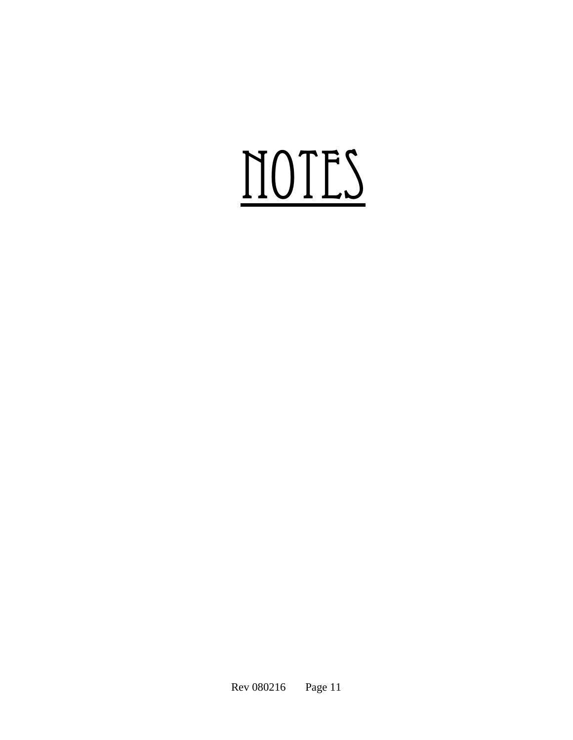# NOTES